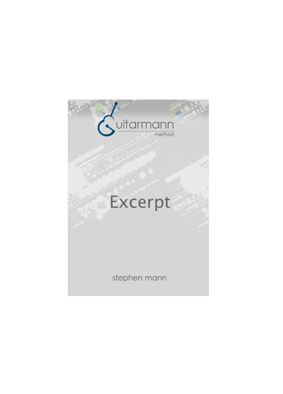## Suitarmann method

## Excerpt

stephen mann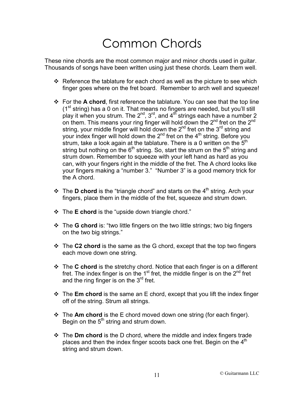## Common Chords

These nine chords are the most common major and minor chords used in guitar. Thousands of songs have been written using just these chords. Learn them well.

- $\cdot$  Reference the tablature for each chord as well as the picture to see which finger goes where on the fret board. Remember to arch well and squeeze!
- $\div$  For the **A chord**, first reference the tablature. You can see that the top line (1<sup>st</sup> string) has a 0 on it. That means no fingers are needed, but you'll still play it when you strum. The  $2^{nd}$ ,  $3^{rd}$ , and  $4^{th}$  strings each have a number 2 on them. This means your ring finger will hold down the  $2^{nd}$  fret on the  $2^{nd}$ string, your middle finger will hold down the  $2^{nd}$  fret on the  $3^{rd}$  string and your index finger will hold down the  $2^{nd}$  fret on the  $4^{th}$  string. Before you strum, take a look again at the tablature. There is a 0 written on the  $5<sup>th</sup>$ string but nothing on the  $6<sup>th</sup>$  string. So, start the strum on the  $5<sup>th</sup>$  string and strum down. Remember to squeeze with your left hand as hard as you can, with your fingers right in the middle of the fret. The A chord looks like your fingers making a "number 3." "Number 3" is a good memory trick for the A chord.
- $\cdot$  The **D chord** is the "triangle chord" and starts on the 4<sup>th</sup> string. Arch your fingers, place them in the middle of the fret, squeeze and strum down.
- ! The **E chord** is the "upside down triangle chord."
- $\div$  The G chord is: "two little fingers on the two little strings; two big fingers on the two big strings."
- $\div$  The C2 chord is the same as the G chord, except that the top two fingers each move down one string.
- ! The **C chord** is the stretchy chord. Notice that each finger is on a different fret. The index finger is on the  $1<sup>st</sup>$  fret, the middle finger is on the  $2<sup>nd</sup>$  fret and the ring finger is on the 3<sup>rd</sup> fret.
- **❖** The **Em chord** is the same an E chord, except that you lift the index finger off of the string. Strum all strings.
- $\div$  The Am chord is the E chord moved down one string (for each finger). Begin on the  $5<sup>th</sup>$  string and strum down.
- $\div$  The **Dm chord** is the D chord, where the middle and index fingers trade places and then the index finger scoots back one fret. Begin on the  $4<sup>th</sup>$ string and strum down.